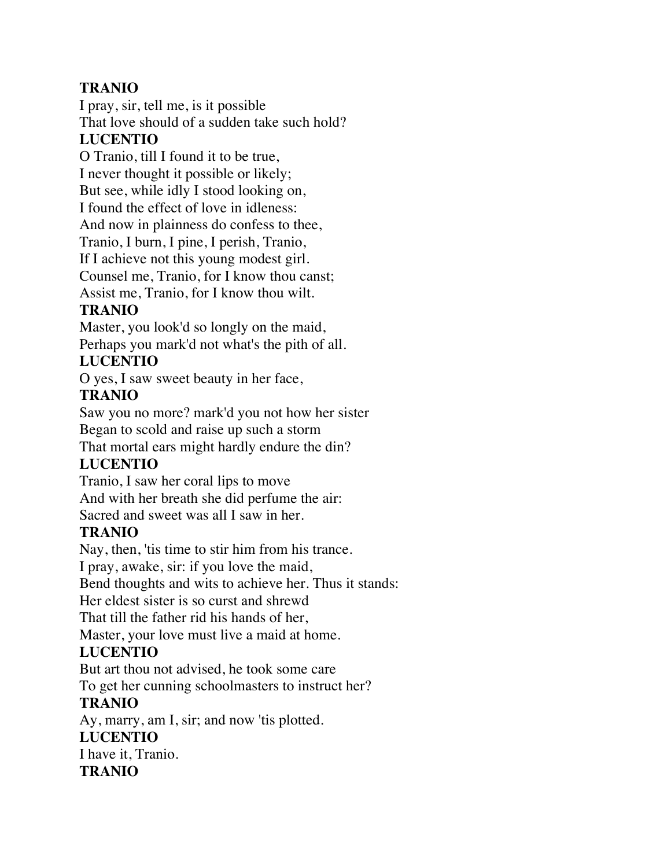# **TRANIO**

I pray, sir, tell me, is it possible That love should of a sudden take such hold? **LUCENTIO**

O Tranio, till I found it to be true, I never thought it possible or likely; But see, while idly I stood looking on, I found the effect of love in idleness: And now in plainness do confess to thee, Tranio, I burn, I pine, I perish, Tranio, If I achieve not this young modest girl. Counsel me, Tranio, for I know thou canst; Assist me, Tranio, for I know thou wilt.

# **TRANIO**

Master, you look'd so longly on the maid, Perhaps you mark'd not what's the pith of all.

## **LUCENTIO**

O yes, I saw sweet beauty in her face,

### **TRANIO**

Saw you no more? mark'd you not how her sister Began to scold and raise up such a storm That mortal ears might hardly endure the din?

## **LUCENTIO**

Tranio, I saw her coral lips to move And with her breath she did perfume the air: Sacred and sweet was all I saw in her.

## **TRANIO**

Nay, then, 'tis time to stir him from his trance.

I pray, awake, sir: if you love the maid,

Bend thoughts and wits to achieve her. Thus it stands:

Her eldest sister is so curst and shrewd

That till the father rid his hands of her,

Master, your love must live a maid at home.

## **LUCENTIO**

But art thou not advised, he took some care

To get her cunning schoolmasters to instruct her?

# **TRANIO**

Ay, marry, am I, sir; and now 'tis plotted. **LUCENTIO** I have it, Tranio. **TRANIO**